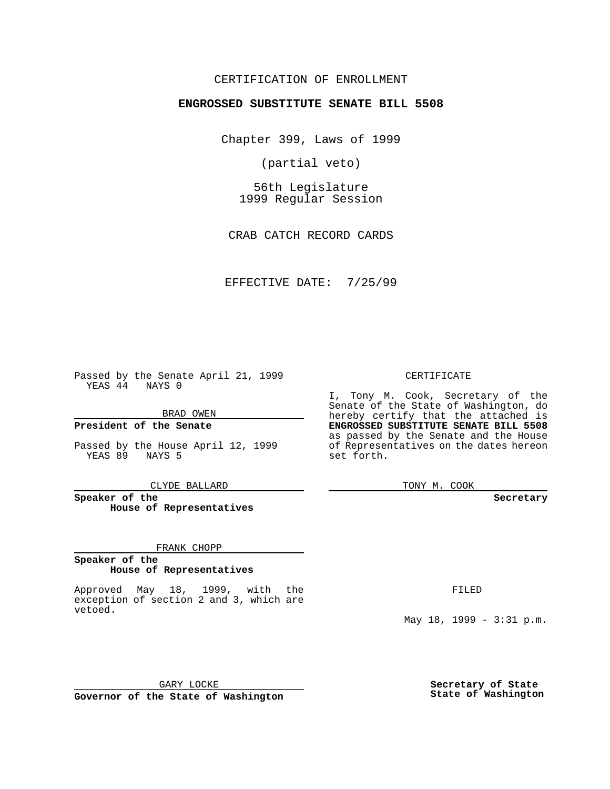### CERTIFICATION OF ENROLLMENT

# **ENGROSSED SUBSTITUTE SENATE BILL 5508**

Chapter 399, Laws of 1999

(partial veto)

56th Legislature 1999 Regular Session

CRAB CATCH RECORD CARDS

EFFECTIVE DATE: 7/25/99

Passed by the Senate April 21, 1999 YEAS 44 NAYS 0

BRAD OWEN

**President of the Senate**

Passed by the House April 12, 1999 YEAS 89 NAYS 5

CLYDE BALLARD

**Speaker of the House of Representatives**

#### FRANK CHOPP

#### **Speaker of the House of Representatives**

Approved May 18, 1999, with the exception of section 2 and 3, which are vetoed.

#### CERTIFICATE

I, Tony M. Cook, Secretary of the Senate of the State of Washington, do hereby certify that the attached is **ENGROSSED SUBSTITUTE SENATE BILL 5508** as passed by the Senate and the House of Representatives on the dates hereon set forth.

TONY M. COOK

#### **Secretary**

FILED

May 18, 1999 - 3:31 p.m.

GARY LOCKE **Governor of the State of Washington**

**Secretary of State State of Washington**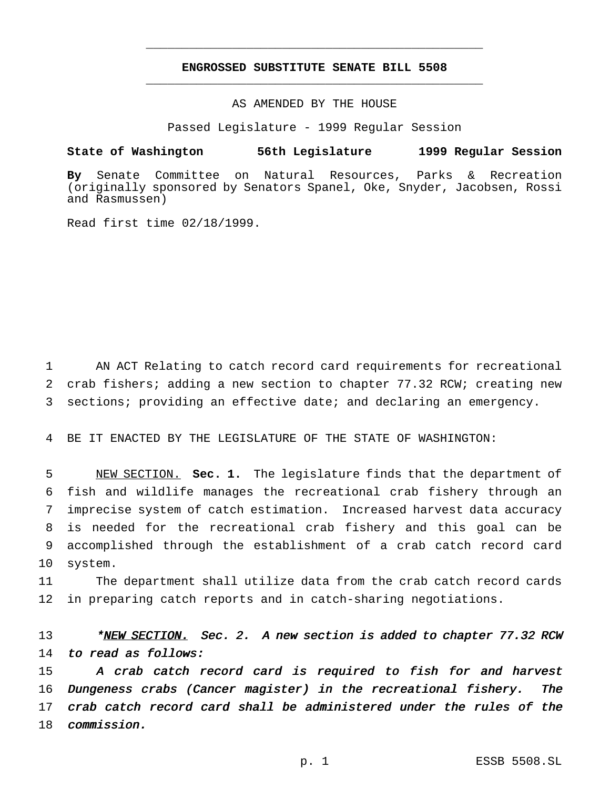## **ENGROSSED SUBSTITUTE SENATE BILL 5508** \_\_\_\_\_\_\_\_\_\_\_\_\_\_\_\_\_\_\_\_\_\_\_\_\_\_\_\_\_\_\_\_\_\_\_\_\_\_\_\_\_\_\_\_\_\_\_

\_\_\_\_\_\_\_\_\_\_\_\_\_\_\_\_\_\_\_\_\_\_\_\_\_\_\_\_\_\_\_\_\_\_\_\_\_\_\_\_\_\_\_\_\_\_\_

### AS AMENDED BY THE HOUSE

Passed Legislature - 1999 Regular Session

#### **State of Washington 56th Legislature 1999 Regular Session**

**By** Senate Committee on Natural Resources, Parks & Recreation (originally sponsored by Senators Spanel, Oke, Snyder, Jacobsen, Rossi and Rasmussen)

Read first time 02/18/1999.

1 AN ACT Relating to catch record card requirements for recreational 2 crab fishers; adding a new section to chapter 77.32 RCW; creating new 3 sections; providing an effective date; and declaring an emergency.

4 BE IT ENACTED BY THE LEGISLATURE OF THE STATE OF WASHINGTON:

 NEW SECTION. **Sec. 1.** The legislature finds that the department of fish and wildlife manages the recreational crab fishery through an imprecise system of catch estimation. Increased harvest data accuracy is needed for the recreational crab fishery and this goal can be accomplished through the establishment of a crab catch record card 10 system.

11 The department shall utilize data from the crab catch record cards 12 in preparing catch reports and in catch-sharing negotiations.

13 \*NEW SECTION. Sec. 2. A new section is added to chapter 77.32 RCW 14 to read as follows:

15 A crab catch record card is required to fish for and harvest 16 Dungeness crabs (Cancer magister) in the recreational fishery. The 17 crab catch record card shall be administered under the rules of the 18 commission.